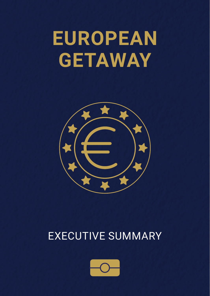### **EUROPEAN GETAWAY**



### EXECUTIVE SUMMARY

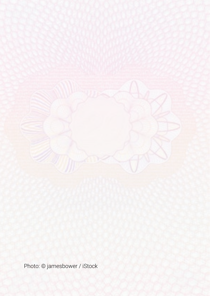

Photo: © jamesbower / iStock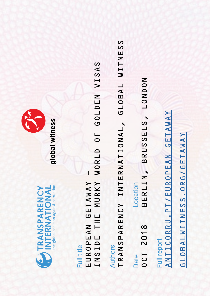



global witness

## Full title

WORLD OF GOLDEN VISAS INSIDE THE MURKY WORLD OF GOLDEN VISAS EUROPEAN GETAWAY - EUROPEAN GETAWAY<br>INSIDE THE MURKY

# Authors

WITNESS TRANSPARENCY INTERNATIONAL, GLOBAL WITNESS GLOBAL TRANSPARENCY INTERNATIONAL,

BRUSSELS, LONDON BERLIN, BRUSSELS, LONDONBERLIN, **Location** 0CT 2018 OCT 2018 Date

ANTICORRU.PT/EUROPEAN GETAWAY [ANTICORRU.PT/EUROPEAN\\_GETAWAY](http://ANTICORRU.PT/european_getaway) Full report

GLOBALWITNESS.ORG/GETAWAY [GLOBALWITNESS.ORG/GETAWAY](http://GLOBALWITNESS.ORG/getaway)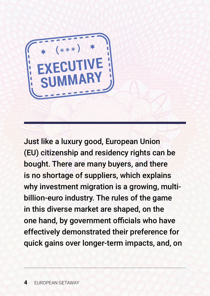

Just like a luxury good, European Union (EU) citizenship and residency rights can be bought. There are many buyers, and there is no shortage of suppliers, which explains why investment migration is a growing, multibillion-euro industry. The rules of the game in this diverse market are shaped, on the one hand, by government officials who have effectively demonstrated their preference for quick gains over longer-term impacts, and, on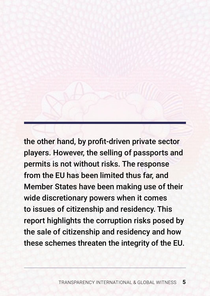the other hand, by profit-driven private sector players. However, the selling of passports and permits is not without risks. The response from the EU has been limited thus far, and Member States have been making use of their wide discretionary powers when it comes to issues of citizenship and residency. This report highlights the corruption risks posed by the sale of citizenship and residency and how these schemes threaten the integrity of the EU.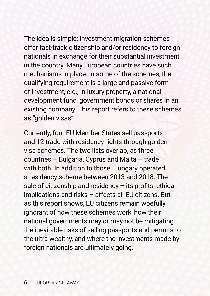The idea is simple: investment migration schemes offer fast-track citizenship and/or residency to foreign nationals in exchange for their substantial investment in the country. Many European countries have such mechanisms in place. In some of the schemes, the qualifying requirement is a large and passive form of investment, e.g., in luxury property, a national development fund, government bonds or shares in an existing company. This report refers to these schemes as "golden visas".

Currently, four EU Member States sell passports and 12 trade with residency rights through golden visa schemes. The two lists overlap, as three countries – Bulgaria, Cyprus and Malta – trade with both. In addition to those, Hungary operated a residency scheme between 2013 and 2018. The sale of citizenship and residency - its profits, ethical implications and risks – affects all EU citizens. But as this report shows, EU citizens remain woefully ignorant of how these schemes work, how their national governments may or may not be mitigating the inevitable risks of selling passports and permits to the ultra-wealthy, and where the investments made by foreign nationals are ultimately going.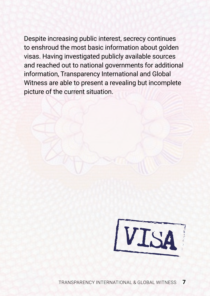Despite increasing public interest, secrecy continues to enshroud the most basic information about golden visas. Having investigated publicly available sources and reached out to national governments for additional information, Transparency International and Global Witness are able to present a revealing but incomplete picture of the current situation.

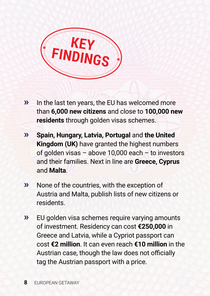

- » In the last ten years, the EU has welcomed more than **6,000 new citizens** and close to **100,000 new residents** through golden visas schemes.
- » **Spain, Hungary, Latvia, Portugal** and **the United Kingdom (UK)** have granted the highest numbers of golden visas – above 10,000 each – to investors and their families. Next in line are **Greece, Cyprus** and **Malta**.
- » None of the countries, with the exception of Austria and Malta, publish lists of new citizens or residents.
- » EU golden visa schemes require varying amounts of investment. Residency can cost **€250,000** in Greece and Latvia, while a Cypriot passport can cost **€2 million**. It can even reach **€10 million** in the Austrian case, though the law does not officially tag the Austrian passport with a price.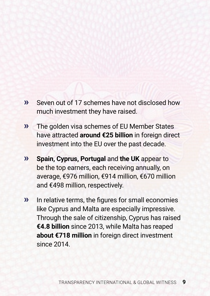- » Seven out of 17 schemes have not disclosed how much investment they have raised.
- » The golden visa schemes of EU Member States have attracted **around €25 billion** in foreign direct investment into the EU over the past decade.
- » **Spain, Cyprus, Portugal** and **the UK** appear to be the top earners, each receiving annually, on average, €976 million, €914 million, €670 million and €498 million, respectively.
- » In relative terms, the figures for small economies like Cyprus and Malta are especially impressive. Through the sale of citizenship, Cyprus has raised **€4.8 billion** since 2013, while Malta has reaped **about €718 million** in foreign direct investment since 2014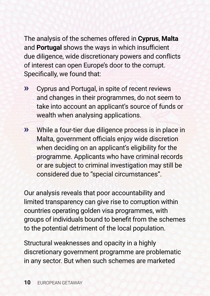The analysis of the schemes offered in **Cyprus**, **Malta** and **Portugal** shows the ways in which insufficient due diligence, wide discretionary powers and conflicts of interest can open Europe's door to the corrupt. Specifically, we found that:

- » Cyprus and Portugal, in spite of recent reviews and changes in their programmes, do not seem to take into account an applicant's source of funds or wealth when analysing applications.
- » While a four-tier due diligence process is in place in Malta, government officials enjoy wide discretion when deciding on an applicant's eligibility for the programme. Applicants who have criminal records or are subject to criminal investigation may still be considered due to "special circumstances".

Our analysis reveals that poor accountability and limited transparency can give rise to corruption within countries operating golden visa programmes, with groups of individuals bound to benefit from the schemes to the potential detriment of the local population.

Structural weaknesses and opacity in a highly discretionary government programme are problematic in any sector. But when such schemes are marketed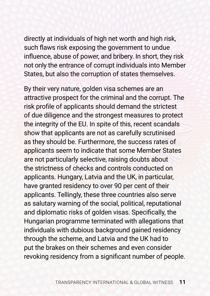directly at individuals of high net worth and high risk, such flaws risk exposing the government to undue influence, abuse of power, and bribery. In short, they risk not only the entrance of corrupt individuals into Member States, but also the corruption of states themselves.

By their very nature, golden visa schemes are an attractive prospect for the criminal and the corrupt. The risk profile of applicants should demand the strictest of due diligence and the strongest measures to protect the integrity of the EU. In spite of this, recent scandals show that applicants are not as carefully scrutinised as they should be. Furthermore, the success rates of applicants seem to indicate that some Member States are not particularly selective, raising doubts about the strictness of checks and controls conducted on applicants. Hungary, Latvia and the UK, in particular, have granted residency to over 90 per cent of their applicants. Tellingly, these three countries also serve as salutary warning of the social, political, reputational and diplomatic risks of golden visas. Specifically, the Hungarian programme terminated with allegations that individuals with dubious background gained residency through the scheme, and Latvia and the UK had to put the brakes on their schemes and even consider revoking residency from a significant number of people.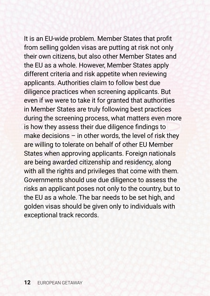It is an EU-wide problem. Member States that profit from selling golden visas are putting at risk not only their own citizens, but also other Member States and the EU as a whole. However, Member States apply different criteria and risk appetite when reviewing applicants. Authorities claim to follow best due diligence practices when screening applicants. But even if we were to take it for granted that authorities in Member States are truly following best practices during the screening process, what matters even more is how they assess their due diligence findings to make decisions – in other words, the level of risk they are willing to tolerate on behalf of other EU Member States when approving applicants. Foreign nationals are being awarded citizenship and residency, along with all the rights and privileges that come with them. Governments should use due diligence to assess the risks an applicant poses not only to the country, but to the EU as a whole. The bar needs to be set high, and golden visas should be given only to individuals with exceptional track records.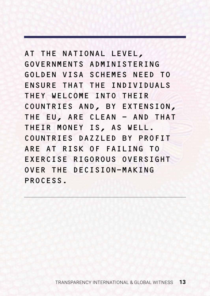AT THE NATIONAL LEVEL, GOVERNMENTS ADMINISTERING GOLDEN VISA SCHEMES NEED TO ENSURE THAT THE INDIVIDUALS THEY WELCOME INTO THEIR COUNTRIES AND, BY EXTENSION, THE EU, ARE CLEAN - AND THAT THEIR MONEY IS, AS WELL. COUNTRIES DAZZLED BY PROFIT ARE AT RISK OF FAILING TO EXERCISE RIGOROUS OVERSIGHT OVER THE DECISION-MAKING PROCESS.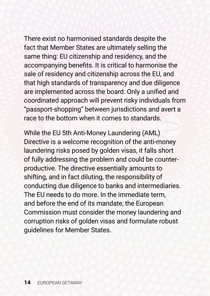There exist no harmonised standards despite the fact that Member States are ultimately selling the same thing: EU citizenship and residency, and the accompanying benefits. It is critical to harmonise the sale of residency and citizenship across the EU, and that high standards of transparency and due diligence are implemented across the board. Only a unified and coordinated approach will prevent risky individuals from "passport-shopping" between jurisdictions and avert a race to the bottom when it comes to standards.

While the EU 5th Anti-Money Laundering (AML) Directive is a welcome recognition of the anti-money laundering risks posed by golden visas, it falls short of fully addressing the problem and could be counterproductive. The directive essentially amounts to shifting, and in fact diluting, the responsibility of conducting due diligence to banks and intermediaries. The EU needs to do more. In the immediate term, and before the end of its mandate, the European Commission must consider the money laundering and corruption risks of golden visas and formulate robust guidelines for Member States.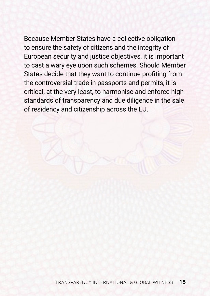Because Member States have a collective obligation to ensure the safety of citizens and the integrity of European security and justice objectives, it is important to cast a wary eye upon such schemes. Should Member States decide that they want to continue profiting from the controversial trade in passports and permits, it is critical, at the very least, to harmonise and enforce high standards of transparency and due diligence in the sale of residency and citizenship across the EU.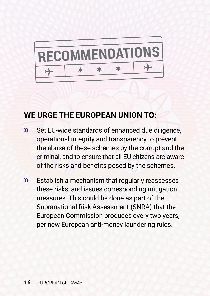

#### **WE URGE THE EUROPEAN UNION TO:**

- » Set EU-wide standards of enhanced due diligence, operational integrity and transparency to prevent the abuse of these schemes by the corrupt and the criminal, and to ensure that all EU citizens are aware of the risks and benefits posed by the schemes.
- » Establish a mechanism that regularly reassesses these risks, and issues corresponding mitigation measures. This could be done as part of the Supranational Risk Assessment (SNRA) that the European Commission produces every two years, per new European anti-money laundering rules.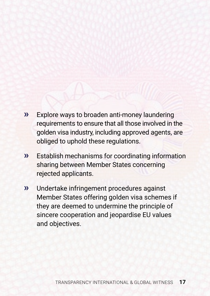- » Explore ways to broaden anti-money laundering requirements to ensure that all those involved in the golden visa industry, including approved agents, are obliged to uphold these regulations.
- » Establish mechanisms for coordinating information sharing between Member States concerning rejected applicants.
- » Undertake infringement procedures against Member States offering golden visa schemes if they are deemed to undermine the principle of sincere cooperation and jeopardise EU values and objectives.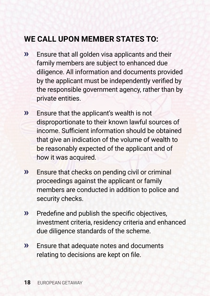#### **WE CALL UPON MEMBER STATES TO:**

- » Ensure that all golden visa applicants and their family members are subject to enhanced due diligence. All information and documents provided by the applicant must be independently verified by the responsible government agency, rather than by private entities.
- » Ensure that the applicant's wealth is not disproportionate to their known lawful sources of income. Sufficient information should be obtained that give an indication of the volume of wealth to be reasonably expected of the applicant and of how it was acquired.
- » Ensure that checks on pending civil or criminal proceedings against the applicant or family members are conducted in addition to police and security checks.
- » Predefine and publish the specific objectives, investment criteria, residency criteria and enhanced due diligence standards of the scheme.
- » Ensure that adequate notes and documents relating to decisions are kept on file.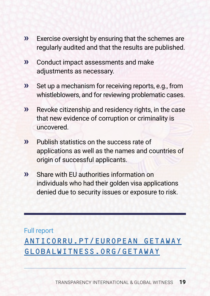- » Exercise oversight by ensuring that the schemes are regularly audited and that the results are published.
- » Conduct impact assessments and make adjustments as necessary.
- » Set up a mechanism for receiving reports, e.g., from whistleblowers, and for reviewing problematic cases.
- » Revoke citizenship and residency rights, in the case that new evidence of corruption or criminality is uncovered.
- » Publish statistics on the success rate of applications as well as the names and countries of origin of successful applicants.
- » Share with EU authorities information on individuals who had their golden visa applications denied due to security issues or exposure to risk.

#### Full report [ANTICORRU.PT/EUROPEAN\\_GETAWAY](http://ANTICORRU.PT/european_getaway) [GLOBALWITNESS.ORG/GETAWAY](http://GLOBALWITNESS.ORG/getaway)